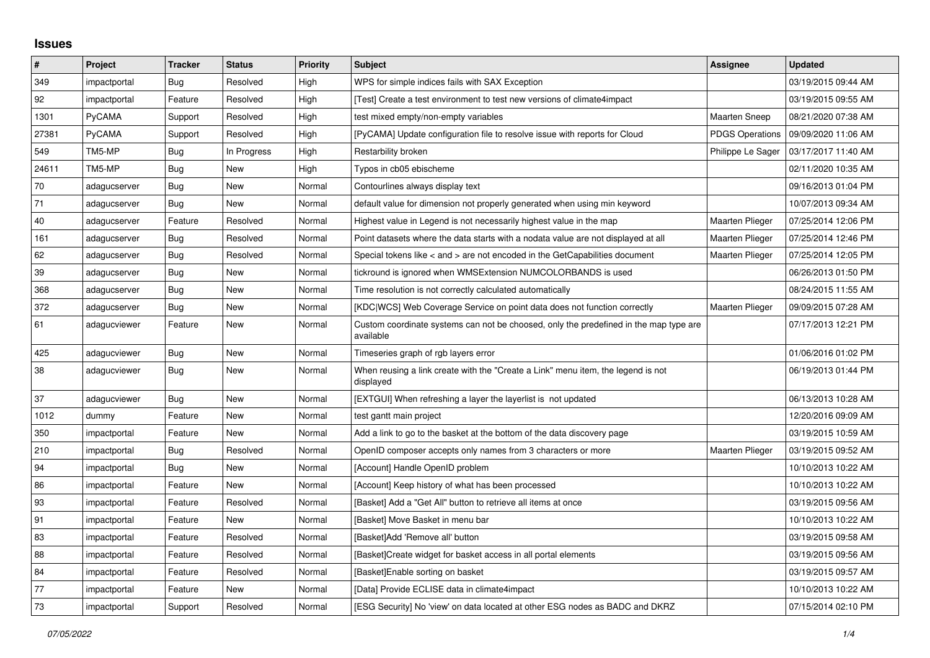## **Issues**

| $\pmb{\#}$ | Project      | <b>Tracker</b> | <b>Status</b> | <b>Priority</b> | <b>Subject</b>                                                                                     | Assignee               | <b>Updated</b>      |
|------------|--------------|----------------|---------------|-----------------|----------------------------------------------------------------------------------------------------|------------------------|---------------------|
| 349        | impactportal | Bug            | Resolved      | High            | WPS for simple indices fails with SAX Exception                                                    |                        | 03/19/2015 09:44 AM |
| 92         | impactportal | Feature        | Resolved      | High            | [Test] Create a test environment to test new versions of climate4impact                            |                        | 03/19/2015 09:55 AM |
| 1301       | PyCAMA       | Support        | Resolved      | High            | test mixed empty/non-empty variables                                                               | <b>Maarten Sneep</b>   | 08/21/2020 07:38 AM |
| 27381      | PyCAMA       | Support        | Resolved      | High            | [PyCAMA] Update configuration file to resolve issue with reports for Cloud                         | <b>PDGS Operations</b> | 09/09/2020 11:06 AM |
| 549        | TM5-MP       | Bug            | In Progress   | High            | Restarbility broken                                                                                | Philippe Le Sager      | 03/17/2017 11:40 AM |
| 24611      | TM5-MP       | <b>Bug</b>     | New           | High            | Typos in cb05 ebischeme                                                                            |                        | 02/11/2020 10:35 AM |
| 70         | adagucserver | Bug            | New           | Normal          | Contourlines always display text                                                                   |                        | 09/16/2013 01:04 PM |
| 71         | adagucserver | <b>Bug</b>     | New           | Normal          | default value for dimension not properly generated when using min keyword                          |                        | 10/07/2013 09:34 AM |
| 40         | adagucserver | Feature        | Resolved      | Normal          | Highest value in Legend is not necessarily highest value in the map                                | Maarten Plieger        | 07/25/2014 12:06 PM |
| 161        | adagucserver | Bug            | Resolved      | Normal          | Point datasets where the data starts with a nodata value are not displayed at all                  | Maarten Plieger        | 07/25/2014 12:46 PM |
| 62         | adagucserver | Bug            | Resolved      | Normal          | Special tokens like $\lt$ and $\gt$ are not encoded in the GetCapabilities document                | Maarten Plieger        | 07/25/2014 12:05 PM |
| 39         | adagucserver | Bug            | New           | Normal          | tickround is ignored when WMSExtension NUMCOLORBANDS is used                                       |                        | 06/26/2013 01:50 PM |
| 368        | adagucserver | Bug            | New           | Normal          | Time resolution is not correctly calculated automatically                                          |                        | 08/24/2015 11:55 AM |
| 372        | adagucserver | <b>Bug</b>     | New           | Normal          | [KDC WCS] Web Coverage Service on point data does not function correctly                           | <b>Maarten Plieger</b> | 09/09/2015 07:28 AM |
| 61         | adagucviewer | Feature        | New           | Normal          | Custom coordinate systems can not be choosed, only the predefined in the map type are<br>available |                        | 07/17/2013 12:21 PM |
| 425        | adagucviewer | <b>Bug</b>     | <b>New</b>    | Normal          | Timeseries graph of rgb layers error                                                               |                        | 01/06/2016 01:02 PM |
| 38         | adagucviewer | Bug            | New           | Normal          | When reusing a link create with the "Create a Link" menu item, the legend is not<br>displayed      |                        | 06/19/2013 01:44 PM |
| 37         | adagucviewer | Bug            | New           | Normal          | [EXTGUI] When refreshing a layer the layerlist is not updated                                      |                        | 06/13/2013 10:28 AM |
| 1012       | dummy        | Feature        | New           | Normal          | test gantt main project                                                                            |                        | 12/20/2016 09:09 AM |
| 350        | impactportal | Feature        | <b>New</b>    | Normal          | Add a link to go to the basket at the bottom of the data discovery page                            |                        | 03/19/2015 10:59 AM |
| 210        | impactportal | Bug            | Resolved      | Normal          | OpenID composer accepts only names from 3 characters or more                                       | <b>Maarten Plieger</b> | 03/19/2015 09:52 AM |
| 94         | impactportal | Bug            | New           | Normal          | [Account] Handle OpenID problem                                                                    |                        | 10/10/2013 10:22 AM |
| 86         | impactportal | Feature        | <b>New</b>    | Normal          | [Account] Keep history of what has been processed                                                  |                        | 10/10/2013 10:22 AM |
| 93         | impactportal | Feature        | Resolved      | Normal          | [Basket] Add a "Get All" button to retrieve all items at once                                      |                        | 03/19/2015 09:56 AM |
| 91         | impactportal | Feature        | New           | Normal          | [Basket] Move Basket in menu bar                                                                   |                        | 10/10/2013 10:22 AM |
| 83         | impactportal | Feature        | Resolved      | Normal          | [Basket]Add 'Remove all' button                                                                    |                        | 03/19/2015 09:58 AM |
| 88         | impactportal | Feature        | Resolved      | Normal          | [Basket]Create widget for basket access in all portal elements                                     |                        | 03/19/2015 09:56 AM |
| 84         | impactportal | Feature        | Resolved      | Normal          | [Basket]Enable sorting on basket                                                                   |                        | 03/19/2015 09:57 AM |
| 77         | impactportal | Feature        | <b>New</b>    | Normal          | [Data] Provide ECLISE data in climate4impact                                                       |                        | 10/10/2013 10:22 AM |
| 73         | impactportal | Support        | Resolved      | Normal          | [ESG Security] No 'view' on data located at other ESG nodes as BADC and DKRZ                       |                        | 07/15/2014 02:10 PM |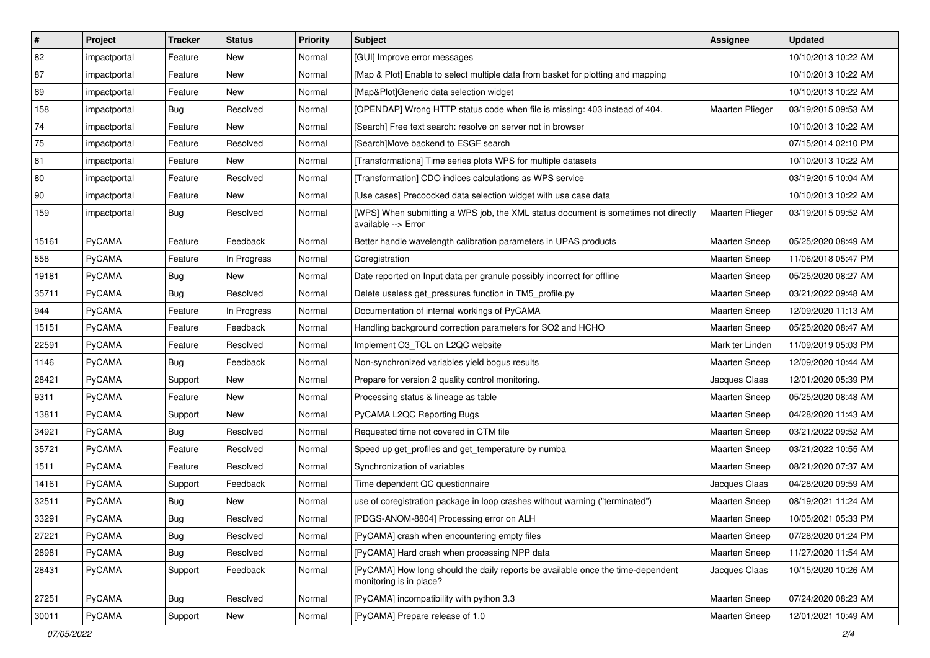| $\vert$ #    | Project      | <b>Tracker</b> | <b>Status</b> | <b>Priority</b> | <b>Subject</b>                                                                                             | Assignee             | <b>Updated</b>      |
|--------------|--------------|----------------|---------------|-----------------|------------------------------------------------------------------------------------------------------------|----------------------|---------------------|
| 82           | impactportal | Feature        | New           | Normal          | [GUI] Improve error messages                                                                               |                      | 10/10/2013 10:22 AM |
| 87           | impactportal | Feature        | <b>New</b>    | Normal          | [Map & Plot] Enable to select multiple data from basket for plotting and mapping                           |                      | 10/10/2013 10:22 AM |
| 89           | impactportal | Feature        | New           | Normal          | [Map&Plot]Generic data selection widget                                                                    |                      | 10/10/2013 10:22 AM |
| 158          | impactportal | Bug            | Resolved      | Normal          | [OPENDAP] Wrong HTTP status code when file is missing: 403 instead of 404.                                 | Maarten Plieger      | 03/19/2015 09:53 AM |
| 74           | impactportal | Feature        | <b>New</b>    | Normal          | [Search] Free text search: resolve on server not in browser                                                |                      | 10/10/2013 10:22 AM |
| 75           | impactportal | Feature        | Resolved      | Normal          | [Search]Move backend to ESGF search                                                                        |                      | 07/15/2014 02:10 PM |
| 81           | impactportal | Feature        | <b>New</b>    | Normal          | [Transformations] Time series plots WPS for multiple datasets                                              |                      | 10/10/2013 10:22 AM |
| 80           | impactportal | Feature        | Resolved      | Normal          | [Transformation] CDO indices calculations as WPS service                                                   |                      | 03/19/2015 10:04 AM |
| $ 90\rangle$ | impactportal | Feature        | New           | Normal          | [Use cases] Precoocked data selection widget with use case data                                            |                      | 10/10/2013 10:22 AM |
| 159          | impactportal | <b>Bug</b>     | Resolved      | Normal          | [WPS] When submitting a WPS job, the XML status document is sometimes not directly<br>available --> Error  | Maarten Plieger      | 03/19/2015 09:52 AM |
| 15161        | PyCAMA       | Feature        | Feedback      | Normal          | Better handle wavelength calibration parameters in UPAS products                                           | Maarten Sneep        | 05/25/2020 08:49 AM |
| 558          | PyCAMA       | Feature        | In Progress   | Normal          | Coregistration                                                                                             | <b>Maarten Sneep</b> | 11/06/2018 05:47 PM |
| 19181        | PyCAMA       | <b>Bug</b>     | New           | Normal          | Date reported on Input data per granule possibly incorrect for offline                                     | <b>Maarten Sneep</b> | 05/25/2020 08:27 AM |
| 35711        | PyCAMA       | Bug            | Resolved      | Normal          | Delete useless get_pressures function in TM5_profile.py                                                    | <b>Maarten Sneep</b> | 03/21/2022 09:48 AM |
| 944          | PyCAMA       | Feature        | In Progress   | Normal          | Documentation of internal workings of PyCAMA                                                               | <b>Maarten Sneep</b> | 12/09/2020 11:13 AM |
| 15151        | PyCAMA       | Feature        | Feedback      | Normal          | Handling background correction parameters for SO2 and HCHO                                                 | Maarten Sneep        | 05/25/2020 08:47 AM |
| 22591        | PyCAMA       | Feature        | Resolved      | Normal          | Implement O3_TCL on L2QC website                                                                           | Mark ter Linden      | 11/09/2019 05:03 PM |
| 1146         | PyCAMA       | <b>Bug</b>     | Feedback      | Normal          | Non-synchronized variables yield bogus results                                                             | <b>Maarten Sneep</b> | 12/09/2020 10:44 AM |
| 28421        | PyCAMA       | Support        | <b>New</b>    | Normal          | Prepare for version 2 quality control monitoring.                                                          | Jacques Claas        | 12/01/2020 05:39 PM |
| 9311         | PyCAMA       | Feature        | New           | Normal          | Processing status & lineage as table                                                                       | Maarten Sneep        | 05/25/2020 08:48 AM |
| 13811        | PyCAMA       | Support        | New           | Normal          | PyCAMA L2QC Reporting Bugs                                                                                 | Maarten Sneep        | 04/28/2020 11:43 AM |
| 34921        | PyCAMA       | <b>Bug</b>     | Resolved      | Normal          | Requested time not covered in CTM file                                                                     | <b>Maarten Sneep</b> | 03/21/2022 09:52 AM |
| 35721        | PyCAMA       | Feature        | Resolved      | Normal          | Speed up get_profiles and get_temperature by numba                                                         | <b>Maarten Sneep</b> | 03/21/2022 10:55 AM |
| 1511         | PyCAMA       | Feature        | Resolved      | Normal          | Synchronization of variables                                                                               | <b>Maarten Sneep</b> | 08/21/2020 07:37 AM |
| 14161        | PyCAMA       | Support        | Feedback      | Normal          | Time dependent QC questionnaire                                                                            | Jacques Claas        | 04/28/2020 09:59 AM |
| 32511        | PyCAMA       | <b>Bug</b>     | New           | Normal          | use of coregistration package in loop crashes without warning ("terminated")                               | Maarten Sneep        | 08/19/2021 11:24 AM |
| 33291        | PyCAMA       | <b>Bug</b>     | Resolved      | Normal          | [PDGS-ANOM-8804] Processing error on ALH                                                                   | <b>Maarten Sneep</b> | 10/05/2021 05:33 PM |
| 27221        | PyCAMA       | <b>Bug</b>     | Resolved      | Normal          | [PyCAMA] crash when encountering empty files                                                               | Maarten Sneep        | 07/28/2020 01:24 PM |
| 28981        | PyCAMA       | Bug            | Resolved      | Normal          | [PyCAMA] Hard crash when processing NPP data                                                               | Maarten Sneep        | 11/27/2020 11:54 AM |
| 28431        | PyCAMA       | Support        | Feedback      | Normal          | [PyCAMA] How long should the daily reports be available once the time-dependent<br>monitoring is in place? | Jacques Claas        | 10/15/2020 10:26 AM |
| 27251        | PyCAMA       | Bug            | Resolved      | Normal          | [PyCAMA] incompatibility with python 3.3                                                                   | Maarten Sneep        | 07/24/2020 08:23 AM |
| 30011        | PyCAMA       | Support        | New           | Normal          | [PyCAMA] Prepare release of 1.0                                                                            | Maarten Sneep        | 12/01/2021 10:49 AM |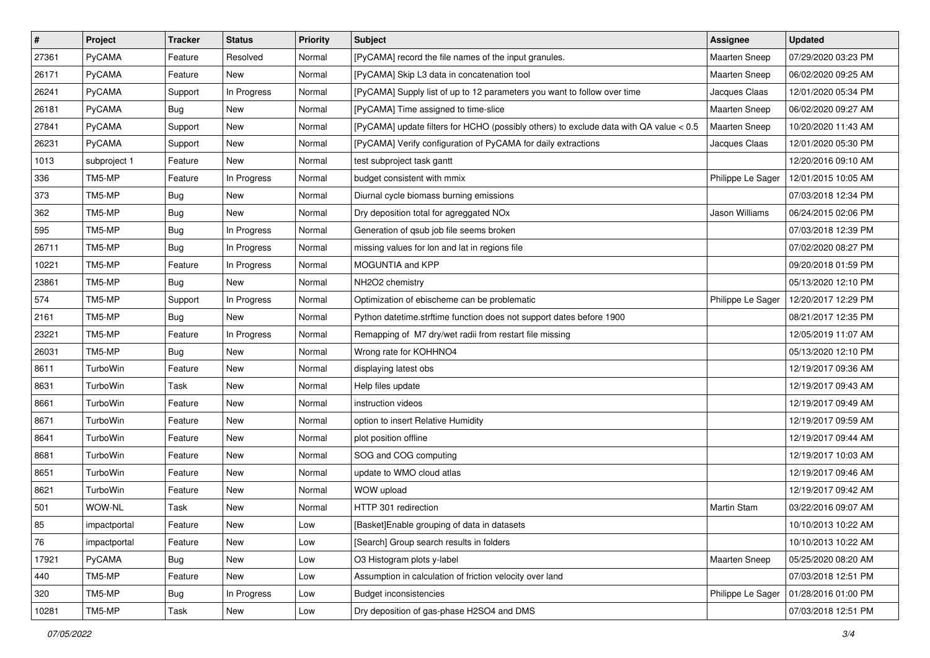| $\pmb{\#}$ | Project      | <b>Tracker</b> | <b>Status</b> | <b>Priority</b> | <b>Subject</b>                                                                         | Assignee             | <b>Updated</b>      |
|------------|--------------|----------------|---------------|-----------------|----------------------------------------------------------------------------------------|----------------------|---------------------|
| 27361      | PyCAMA       | Feature        | Resolved      | Normal          | [PyCAMA] record the file names of the input granules.                                  | <b>Maarten Sneep</b> | 07/29/2020 03:23 PM |
| 26171      | PyCAMA       | Feature        | New           | Normal          | [PyCAMA] Skip L3 data in concatenation tool                                            | <b>Maarten Sneep</b> | 06/02/2020 09:25 AM |
| 26241      | PyCAMA       | Support        | In Progress   | Normal          | [PyCAMA] Supply list of up to 12 parameters you want to follow over time               | Jacques Claas        | 12/01/2020 05:34 PM |
| 26181      | PyCAMA       | Bug            | New           | Normal          | [PyCAMA] Time assigned to time-slice                                                   | <b>Maarten Sneep</b> | 06/02/2020 09:27 AM |
| 27841      | PyCAMA       | Support        | <b>New</b>    | Normal          | [PyCAMA] update filters for HCHO (possibly others) to exclude data with QA value < 0.5 | Maarten Sneep        | 10/20/2020 11:43 AM |
| 26231      | PyCAMA       | Support        | New           | Normal          | [PyCAMA] Verify configuration of PyCAMA for daily extractions                          | Jacques Claas        | 12/01/2020 05:30 PM |
| 1013       | subproject 1 | Feature        | New           | Normal          | test subproject task gantt                                                             |                      | 12/20/2016 09:10 AM |
| 336        | TM5-MP       | Feature        | In Progress   | Normal          | budget consistent with mmix                                                            | Philippe Le Sager    | 12/01/2015 10:05 AM |
| 373        | TM5-MP       | <b>Bug</b>     | New           | Normal          | Diurnal cycle biomass burning emissions                                                |                      | 07/03/2018 12:34 PM |
| 362        | TM5-MP       | Bug            | New           | Normal          | Dry deposition total for agreggated NOx                                                | Jason Williams       | 06/24/2015 02:06 PM |
| 595        | TM5-MP       | <b>Bug</b>     | In Progress   | Normal          | Generation of qsub job file seems broken                                               |                      | 07/03/2018 12:39 PM |
| 26711      | TM5-MP       | Bug            | In Progress   | Normal          | missing values for lon and lat in regions file                                         |                      | 07/02/2020 08:27 PM |
| 10221      | TM5-MP       | Feature        | In Progress   | Normal          | MOGUNTIA and KPP                                                                       |                      | 09/20/2018 01:59 PM |
| 23861      | TM5-MP       | <b>Bug</b>     | New           | Normal          | NH2O2 chemistry                                                                        |                      | 05/13/2020 12:10 PM |
| 574        | TM5-MP       | Support        | In Progress   | Normal          | Optimization of ebischeme can be problematic                                           | Philippe Le Sager    | 12/20/2017 12:29 PM |
| 2161       | TM5-MP       | Bug            | New           | Normal          | Python datetime.strftime function does not support dates before 1900                   |                      | 08/21/2017 12:35 PM |
| 23221      | TM5-MP       | Feature        | In Progress   | Normal          | Remapping of M7 dry/wet radii from restart file missing                                |                      | 12/05/2019 11:07 AM |
| 26031      | TM5-MP       | <b>Bug</b>     | <b>New</b>    | Normal          | Wrong rate for KOHHNO4                                                                 |                      | 05/13/2020 12:10 PM |
| 8611       | TurboWin     | Feature        | New           | Normal          | displaying latest obs                                                                  |                      | 12/19/2017 09:36 AM |
| 8631       | TurboWin     | Task           | New           | Normal          | Help files update                                                                      |                      | 12/19/2017 09:43 AM |
| 8661       | TurboWin     | Feature        | New           | Normal          | instruction videos                                                                     |                      | 12/19/2017 09:49 AM |
| 8671       | TurboWin     | Feature        | New           | Normal          | option to insert Relative Humidity                                                     |                      | 12/19/2017 09:59 AM |
| 8641       | TurboWin     | Feature        | <b>New</b>    | Normal          | plot position offline                                                                  |                      | 12/19/2017 09:44 AM |
| 8681       | TurboWin     | Feature        | New           | Normal          | SOG and COG computing                                                                  |                      | 12/19/2017 10:03 AM |
| 8651       | TurboWin     | Feature        | New           | Normal          | update to WMO cloud atlas                                                              |                      | 12/19/2017 09:46 AM |
| 8621       | TurboWin     | Feature        | New           | Normal          | WOW upload                                                                             |                      | 12/19/2017 09:42 AM |
| 501        | WOW-NL       | Task           | New           | Normal          | HTTP 301 redirection                                                                   | Martin Stam          | 03/22/2016 09:07 AM |
| 85         | impactportal | Feature        | New           | Low             | [Basket]Enable grouping of data in datasets                                            |                      | 10/10/2013 10:22 AM |
| 76         | impactportal | Feature        | New           | Low             | [Search] Group search results in folders                                               |                      | 10/10/2013 10:22 AM |
| 17921      | PyCAMA       | <b>Bug</b>     | New           | Low             | O3 Histogram plots y-label                                                             | Maarten Sneep        | 05/25/2020 08:20 AM |
| 440        | TM5-MP       | Feature        | New           | Low             | Assumption in calculation of friction velocity over land                               |                      | 07/03/2018 12:51 PM |
| 320        | TM5-MP       | <b>Bug</b>     | In Progress   | Low             | <b>Budget inconsistencies</b>                                                          | Philippe Le Sager    | 01/28/2016 01:00 PM |
| 10281      | TM5-MP       | Task           | New           | Low             | Dry deposition of gas-phase H2SO4 and DMS                                              |                      | 07/03/2018 12:51 PM |